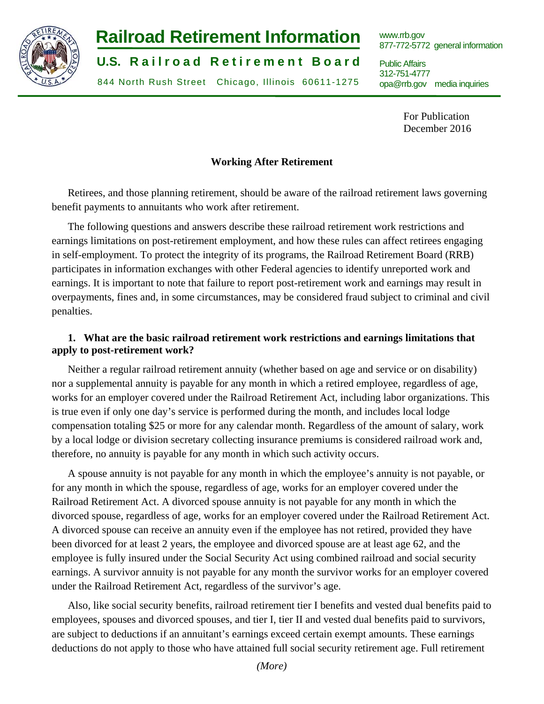

# **Railroad Retirement Information www.rrb.gov**

**U.S. Railroad Retirement Board** Public Affairs

312-751-4777 844 North Rush Street Chicago, Illinois 60611-1275 opa@rrb.gov media inquiries

877-772-5772 general information

312-751-4777

For Publication December 2016

## **Working After Retirement**

Retirees, and those planning retirement, should be aware of the railroad retirement laws governing benefit payments to annuitants who work after retirement.

The following questions and answers describe these railroad retirement work restrictions and earnings limitations on post-retirement employment, and how these rules can affect retirees engaging in self-employment. To protect the integrity of its programs, the Railroad Retirement Board (RRB) participates in information exchanges with other Federal agencies to identify unreported work and earnings. It is important to note that failure to report post-retirement work and earnings may result in overpayments, fines and, in some circumstances, may be considered fraud subject to criminal and civil penalties.

## **1. What are the basic railroad retirement work restrictions and earnings limitations that apply to post-retirement work?**

Neither a regular railroad retirement annuity (whether based on age and service or on disability) nor a supplemental annuity is payable for any month in which a retired employee, regardless of age, works for an employer covered under the Railroad Retirement Act, including labor organizations. This is true even if only one day's service is performed during the month, and includes local lodge compensation totaling \$25 or more for any calendar month. Regardless of the amount of salary, work by a local lodge or division secretary collecting insurance premiums is considered railroad work and, therefore, no annuity is payable for any month in which such activity occurs.

A spouse annuity is not payable for any month in which the employee's annuity is not payable, or for any month in which the spouse, regardless of age, works for an employer covered under the Railroad Retirement Act. A divorced spouse annuity is not payable for any month in which the divorced spouse, regardless of age, works for an employer covered under the Railroad Retirement Act. A divorced spouse can receive an annuity even if the employee has not retired, provided they have been divorced for at least 2 years, the employee and divorced spouse are at least age 62, and the employee is fully insured under the Social Security Act using combined railroad and social security earnings. A survivor annuity is not payable for any month the survivor works for an employer covered under the Railroad Retirement Act, regardless of the survivor's age.

Also, like social security benefits, railroad retirement tier I benefits and vested dual benefits paid to employees, spouses and divorced spouses, and tier I, tier II and vested dual benefits paid to survivors, are subject to deductions if an annuitant's earnings exceed certain exempt amounts. These earnings deductions do not apply to those who have attained full social security retirement age. Full retirement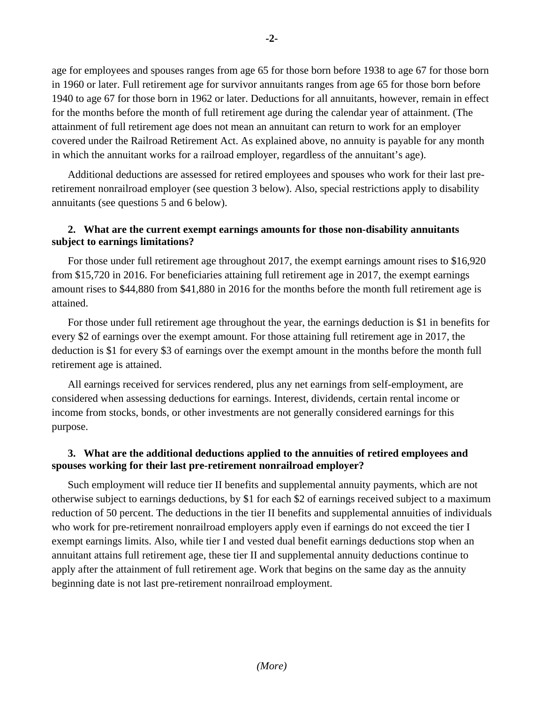age for employees and spouses ranges from age 65 for those born before 1938 to age 67 for those born in 1960 or later. Full retirement age for survivor annuitants ranges from age 65 for those born before 1940 to age 67 for those born in 1962 or later. Deductions for all annuitants, however, remain in effect for the months before the month of full retirement age during the calendar year of attainment. (The attainment of full retirement age does not mean an annuitant can return to work for an employer covered under the Railroad Retirement Act. As explained above, no annuity is payable for any month in which the annuitant works for a railroad employer, regardless of the annuitant's age).

Additional deductions are assessed for retired employees and spouses who work for their last preretirement nonrailroad employer (see question 3 below). Also, special restrictions apply to disability annuitants (see questions 5 and 6 below).

## **2. What are the current exempt earnings amounts for those non-disability annuitants subject to earnings limitations?**

For those under full retirement age throughout 2017, the exempt earnings amount rises to \$16,920 from \$15,720 in 2016. For beneficiaries attaining full retirement age in 2017, the exempt earnings amount rises to \$44,880 from \$41,880 in 2016 for the months before the month full retirement age is attained.

For those under full retirement age throughout the year, the earnings deduction is \$1 in benefits for every \$2 of earnings over the exempt amount. For those attaining full retirement age in 2017, the deduction is \$1 for every \$3 of earnings over the exempt amount in the months before the month full retirement age is attained.

All earnings received for services rendered, plus any net earnings from self-employment, are considered when assessing deductions for earnings. Interest, dividends, certain rental income or income from stocks, bonds, or other investments are not generally considered earnings for this purpose.

## **3. What are the additional deductions applied to the annuities of retired employees and spouses working for their last pre-retirement nonrailroad employer?**

Such employment will reduce tier II benefits and supplemental annuity payments, which are not otherwise subject to earnings deductions, by \$1 for each \$2 of earnings received subject to a maximum reduction of 50 percent. The deductions in the tier II benefits and supplemental annuities of individuals who work for pre-retirement nonrailroad employers apply even if earnings do not exceed the tier I exempt earnings limits. Also, while tier I and vested dual benefit earnings deductions stop when an annuitant attains full retirement age, these tier II and supplemental annuity deductions continue to apply after the attainment of full retirement age. Work that begins on the same day as the annuity beginning date is not last pre-retirement nonrailroad employment.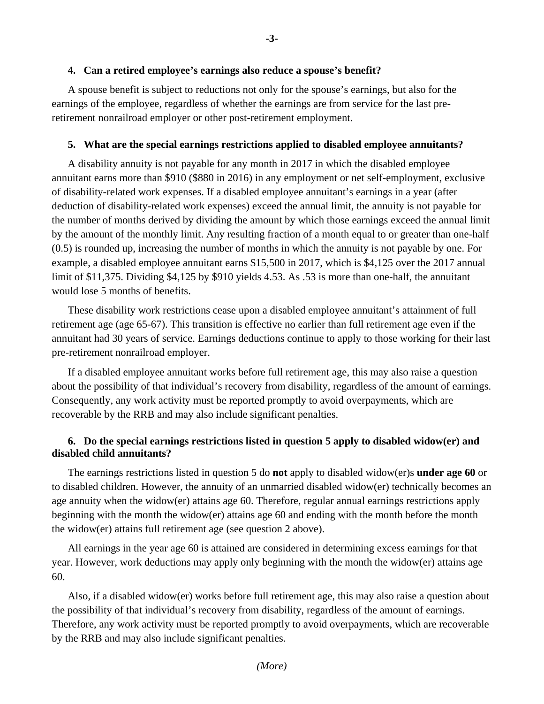#### **4. Can a retired employee's earnings also reduce a spouse's benefit?**

A spouse benefit is subject to reductions not only for the spouse's earnings, but also for the earnings of the employee, regardless of whether the earnings are from service for the last preretirement nonrailroad employer or other post-retirement employment.

#### **5. What are the special earnings restrictions applied to disabled employee annuitants?**

A disability annuity is not payable for any month in 2017 in which the disabled employee annuitant earns more than \$910 (\$880 in 2016) in any employment or net self-employment, exclusive of disability-related work expenses. If a disabled employee annuitant's earnings in a year (after deduction of disability-related work expenses) exceed the annual limit, the annuity is not payable for the number of months derived by dividing the amount by which those earnings exceed the annual limit by the amount of the monthly limit. Any resulting fraction of a month equal to or greater than one-half (0.5) is rounded up, increasing the number of months in which the annuity is not payable by one. For example, a disabled employee annuitant earns \$15,500 in 2017, which is \$4,125 over the 2017 annual limit of \$11,375. Dividing \$4,125 by \$910 yields 4.53. As .53 is more than one-half, the annuitant would lose 5 months of benefits.

These disability work restrictions cease upon a disabled employee annuitant's attainment of full retirement age (age 65-67). This transition is effective no earlier than full retirement age even if the annuitant had 30 years of service. Earnings deductions continue to apply to those working for their last pre-retirement nonrailroad employer.

If a disabled employee annuitant works before full retirement age, this may also raise a question about the possibility of that individual's recovery from disability, regardless of the amount of earnings. Consequently, any work activity must be reported promptly to avoid overpayments, which are recoverable by the RRB and may also include significant penalties.

### **6. Do the special earnings restrictions listed in question 5 apply to disabled widow(er) and disabled child annuitants?**

The earnings restrictions listed in question 5 do **not** apply to disabled widow(er)s **under age 60** or to disabled children. However, the annuity of an unmarried disabled widow(er) technically becomes an age annuity when the widow(er) attains age 60. Therefore, regular annual earnings restrictions apply beginning with the month the widow(er) attains age 60 and ending with the month before the month the widow(er) attains full retirement age (see question 2 above).

All earnings in the year age 60 is attained are considered in determining excess earnings for that year. However, work deductions may apply only beginning with the month the widow(er) attains age 60.

Also, if a disabled widow(er) works before full retirement age, this may also raise a question about the possibility of that individual's recovery from disability, regardless of the amount of earnings. Therefore, any work activity must be reported promptly to avoid overpayments, which are recoverable by the RRB and may also include significant penalties.